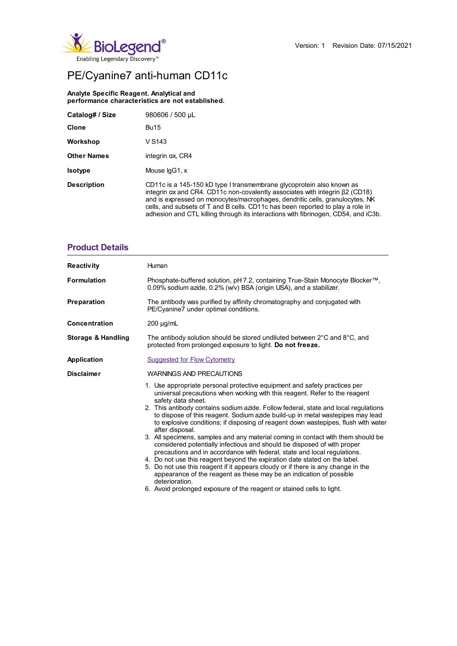

# PE/Cyanine7 anti-human CD11c

#### **Analyte Specific Reagent. Analytical and performance characteristics are not established.**

| Catalog# / Size    | 980606 / 500 µL                                                                                                                                                                                                                                                                                                                                                                                                              |
|--------------------|------------------------------------------------------------------------------------------------------------------------------------------------------------------------------------------------------------------------------------------------------------------------------------------------------------------------------------------------------------------------------------------------------------------------------|
| <b>Clone</b>       | <b>Bu15</b>                                                                                                                                                                                                                                                                                                                                                                                                                  |
| Workshop           | V S <sub>143</sub>                                                                                                                                                                                                                                                                                                                                                                                                           |
| <b>Other Names</b> | integrin $\alpha x$ , CR4                                                                                                                                                                                                                                                                                                                                                                                                    |
| <b>Isotype</b>     | Mouse IgG1, K                                                                                                                                                                                                                                                                                                                                                                                                                |
| <b>Description</b> | CD11c is a 145-150 kD type I transmembrane glycoprotein also known as<br>integrin $\alpha x$ and CR4. CD11c non-covalently associates with integrin $\beta$ 2 (CD18)<br>and is expressed on monocytes/macrophages, dendritic cells, granulocytes, NK<br>cells, and subsets of T and B cells. CD11c has been reported to play a role in<br>adhesion and CTL killing through its interactions with fibrinogen, CD54, and iC3b. |

### **Product Details**

| Reactivity           | Human                                                                                                                                                                                                                                                                                                                                                                                                                                                                                                                                                                                                                                                                                                                                                                                                                                                                                                                                                                                                                                          |  |  |  |  |
|----------------------|------------------------------------------------------------------------------------------------------------------------------------------------------------------------------------------------------------------------------------------------------------------------------------------------------------------------------------------------------------------------------------------------------------------------------------------------------------------------------------------------------------------------------------------------------------------------------------------------------------------------------------------------------------------------------------------------------------------------------------------------------------------------------------------------------------------------------------------------------------------------------------------------------------------------------------------------------------------------------------------------------------------------------------------------|--|--|--|--|
| Formulation          | Phosphate-buffered solution, pH 7.2, containing True-Stain Monocyte Blocker™,<br>0.09% sodium azide, 0.2% (w/v) BSA (origin USA), and a stabilizer.                                                                                                                                                                                                                                                                                                                                                                                                                                                                                                                                                                                                                                                                                                                                                                                                                                                                                            |  |  |  |  |
| Preparation          | The antibody was purified by affinity chromatography and conjugated with<br>PE/Cyanine7 under optimal conditions.                                                                                                                                                                                                                                                                                                                                                                                                                                                                                                                                                                                                                                                                                                                                                                                                                                                                                                                              |  |  |  |  |
| <b>Concentration</b> | $200 \mu g/mL$                                                                                                                                                                                                                                                                                                                                                                                                                                                                                                                                                                                                                                                                                                                                                                                                                                                                                                                                                                                                                                 |  |  |  |  |
| Storage & Handling   | The antibody solution should be stored undiluted between 2°C and 8°C, and<br>protected from prolonged exposure to light. Do not freeze.                                                                                                                                                                                                                                                                                                                                                                                                                                                                                                                                                                                                                                                                                                                                                                                                                                                                                                        |  |  |  |  |
| <b>Application</b>   | <b>Suggested for Flow Cytometry</b>                                                                                                                                                                                                                                                                                                                                                                                                                                                                                                                                                                                                                                                                                                                                                                                                                                                                                                                                                                                                            |  |  |  |  |
| <b>Disclaimer</b>    | WARNINGS AND PRECAUTIONS                                                                                                                                                                                                                                                                                                                                                                                                                                                                                                                                                                                                                                                                                                                                                                                                                                                                                                                                                                                                                       |  |  |  |  |
|                      | 1. Use appropriate personal protective equipment and safety practices per<br>universal precautions when working with this reagent. Refer to the reagent<br>safety data sheet.<br>2. This antibody contains sodium azide. Follow federal, state and local regulations<br>to dispose of this reagent. Sodium azide build-up in metal wastepipes may lead<br>to explosive conditions; if disposing of reagent down wastepipes, flush with water<br>after disposal.<br>3. All specimens, samples and any material coming in contact with them should be<br>considered potentially infectious and should be disposed of with proper<br>precautions and in accordance with federal, state and local requiations.<br>4. Do not use this reagent beyond the expiration date stated on the label.<br>5. Do not use this reagent if it appears cloudy or if there is any change in the<br>appearance of the reagent as these may be an indication of possible<br>deterioration.<br>6. Avoid prolonged exposure of the reagent or stained cells to light. |  |  |  |  |